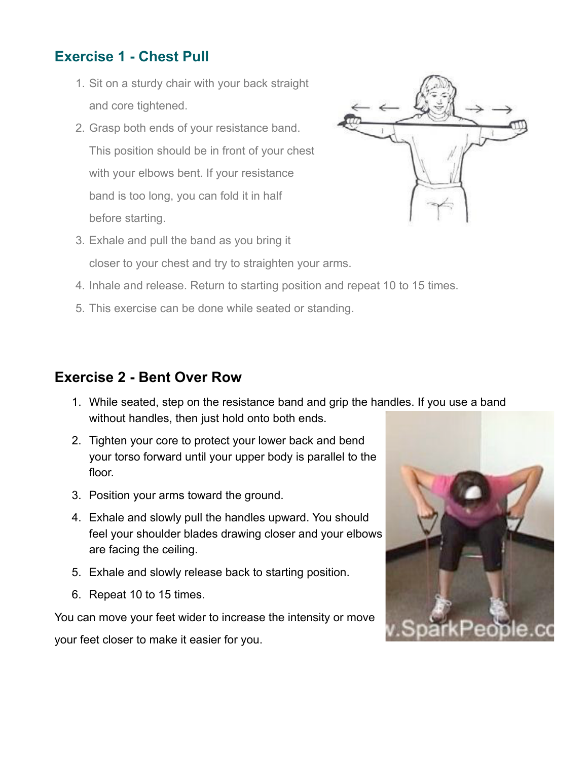#### **Exercise 1 - Chest Pull**

- 1. Sit on a sturdy chair with your back straight and core tightened.
- 2. Grasp both ends of your resistance band. This position should be in front of your chest with your elbows bent. If your resistance band is too long, you can fold it in half before starting.



- 3. Exhale and pull the band as you bring it closer to your chest and try to straighten your arms.
- 4. Inhale and release. Return to starting position and repeat 10 to 15 times.
- 5. This exercise can be done while seated or standing.

#### **Exercise 2 - Bent Over Row**

- 1. While seated, step on the resistance band and grip the handles. If you use a band without handles, then just hold onto both ends.
- 2. Tighten your core to protect your lower back and bend your torso forward until your upper body is parallel to the floor.
- 3. Position your arms toward the ground.
- 4. Exhale and slowly pull the handles upward. You should feel your shoulder blades drawing closer and your elbows are facing the ceiling.
- 5. Exhale and slowly release back to starting position.
- 6. Repeat 10 to 15 times.

You can move your feet wider to increase the intensity or move

your feet closer to make it easier for you.

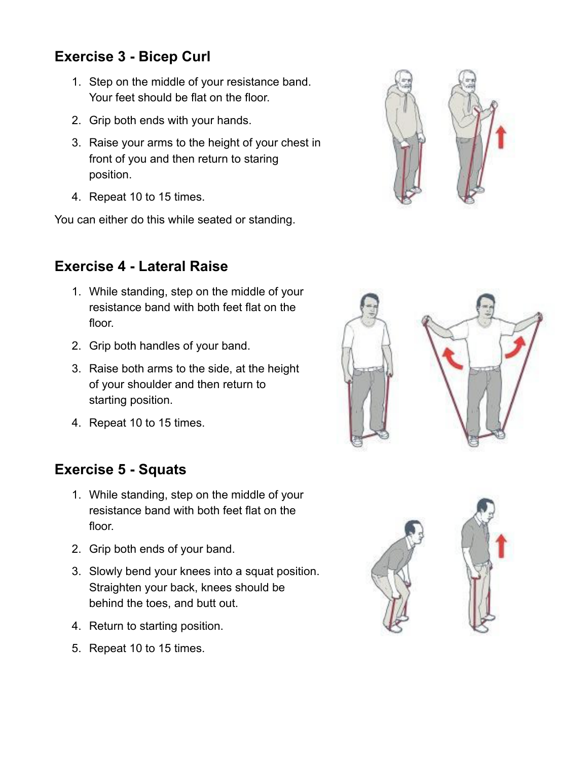## **Exercise 3 - Bicep Curl**

- 1. Step on the middle of your resistance band. Your feet should be flat on the floor.
- 2. Grip both ends with your hands.
- 3. Raise your arms to the height of your chest in front of you and then return to staring position.
- 4. Repeat 10 to 15 times.

You can either do this while seated or standing.

# **Exercise 4 - Lateral Raise**

- 1. While standing, step on the middle of your resistance band with both feet flat on the floor.
- 2. Grip both handles of your band.
- 3. Raise both arms to the side, at the height of your shoulder and then return to starting position.
- 4. Repeat 10 to 15 times.

## **Exercise 5 - Squats**

- 1. While standing, step on the middle of your resistance band with both feet flat on the floor.
- 2. Grip both ends of your band.
- 3. Slowly bend your knees into a squat position. Straighten your back, knees should be behind the toes, and butt out.
- 4. Return to starting position.
- 5. Repeat 10 to 15 times.





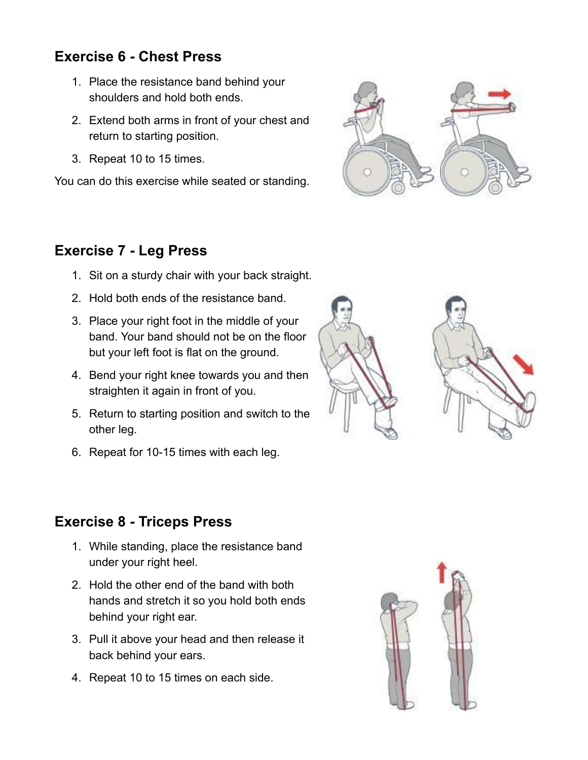## **Exercise 6 - Chest Press**

- 1. Place the resistance band behind your shoulders and hold both ends.
- 2. Extend both arms in front of your chest and return to starting position.
- 3. Repeat 10 to 15 times.

You can do this exercise while seated or standing.



#### **Exercise 7 - Leg Press**

- 1. Sit on a sturdy chair with your back straight.
- 2. Hold both ends of the resistance band.
- 3. Place your right foot in the middle of your band. Your band should not be on the floor but your left foot is flat on the ground.
- 4. Bend your right knee towards you and then straighten it again in front of you.
- 5. Return to starting position and switch to the other leg.
- 6. Repeat for 10-15 times with each leg.



- 1. While standing, place the resistance band under your right heel.
- 2. Hold the other end of the band with both hands and stretch it so you hold both ends behind your right ear.
- 3. Pull it above your head and then release it back behind your ears.
- 4. Repeat 10 to 15 times on each side.